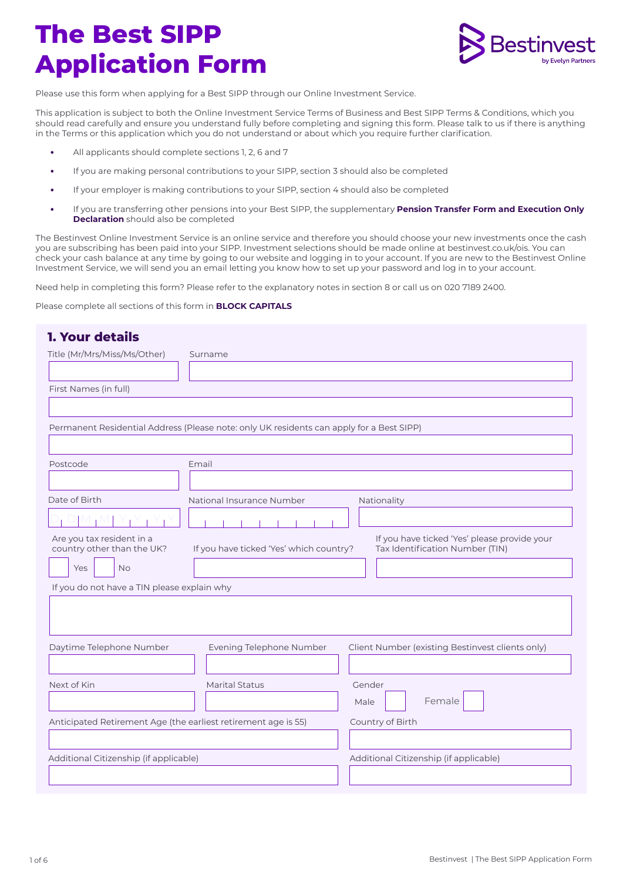

Please use this form when applying for a Best SIPP through our Online Investment Service.

This application is subject to both the Online Investment Service Terms of Business and Best SIPP Terms & Conditions, which you should read carefully and ensure you understand fully before completing and signing this form. Please talk to us if there is anything in the Terms or this application which you do not understand or about which you require further clarification.

- **•** All applicants should complete sections 1, 2, 6 and 7
- **•** If you are making personal contributions to your SIPP, section 3 should also be completed
- **•** If your employer is making contributions to your SIPP, section 4 should also be completed
- **•** If you are transferring other pensions into your Best SIPP, the supplementary **Pension Transfer Form and Execution Only Declaration** should also be completed

The Bestinvest Online Investment Service is an online service and therefore you should choose your new investments once the cash you are subscribing has been paid into your SIPP. Investment selections should be made online at bestinvest.co.uk/ois. You can check your cash balance at any time by going to our website and logging in to your account. If you are new to the Bestinvest Online Investment Service, we will send you an email letting you know how to set up your password and log in to your account.

Need help in completing this form? Please refer to the explanatory notes in section 8 or call us on 020 7189 2400.

Please complete all sections of this form in **BLOCK CAPITALS** 

| <b>1. Your details</b>                                         |                                                                                          |                                                                                 |
|----------------------------------------------------------------|------------------------------------------------------------------------------------------|---------------------------------------------------------------------------------|
| Title (Mr/Mrs/Miss/Ms/Other)                                   | Surname                                                                                  |                                                                                 |
|                                                                |                                                                                          |                                                                                 |
| First Names (in full)                                          |                                                                                          |                                                                                 |
|                                                                |                                                                                          |                                                                                 |
|                                                                | Permanent Residential Address (Please note: only UK residents can apply for a Best SIPP) |                                                                                 |
|                                                                |                                                                                          |                                                                                 |
| Postcode                                                       | Email                                                                                    |                                                                                 |
|                                                                |                                                                                          |                                                                                 |
| Date of Birth                                                  | National Insurance Number                                                                | Nationality                                                                     |
|                                                                |                                                                                          |                                                                                 |
| Are you tax resident in a<br>country other than the UK?        | If you have ticked 'Yes' which country?                                                  | If you have ticked 'Yes' please provide your<br>Tax Identification Number (TIN) |
| Yes<br><b>No</b>                                               |                                                                                          |                                                                                 |
| If you do not have a TIN please explain why                    |                                                                                          |                                                                                 |
|                                                                |                                                                                          |                                                                                 |
|                                                                |                                                                                          |                                                                                 |
| Daytime Telephone Number                                       | Evening Telephone Number                                                                 | Client Number (existing Bestinvest clients only)                                |
|                                                                |                                                                                          |                                                                                 |
| Next of Kin                                                    | <b>Marital Status</b>                                                                    | Gender                                                                          |
|                                                                |                                                                                          | Female<br>Male                                                                  |
| Anticipated Retirement Age (the earliest retirement age is 55) |                                                                                          | Country of Birth                                                                |
|                                                                |                                                                                          |                                                                                 |
| Additional Citizenship (if applicable)                         |                                                                                          | Additional Citizenship (if applicable)                                          |
|                                                                |                                                                                          |                                                                                 |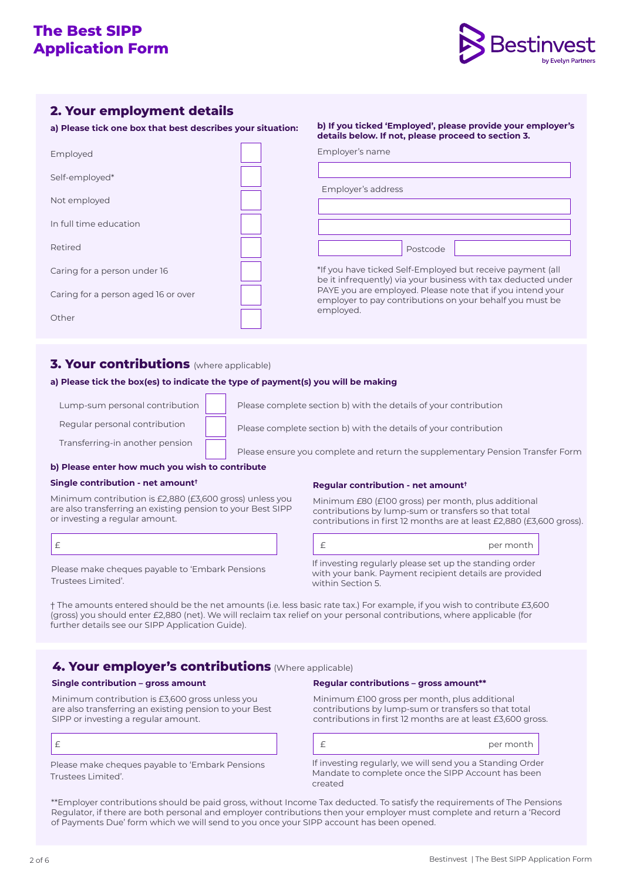

# **2. Your employment details**

**a) Please tick one box that best describes your situation:** 

| Employed                            |  |
|-------------------------------------|--|
| Self-employed*                      |  |
| Not employed                        |  |
| In full time education              |  |
| Retired                             |  |
| Caring for a person under 16        |  |
| Caring for a person aged 16 or over |  |
| Other                               |  |

#### **b) If you ticked 'Employed', please provide your employer's details below. If not, please proceed to section 3.**

| Employer's address |  |
|--------------------|--|
|                    |  |
|                    |  |
| Postcode           |  |

\*If you have ticked Self-Employed but receive payment (all be it infrequently) via your business with tax deducted under PAYE you are employed. Please note that if you intend your employer to pay contributions on your behalf you must be employed.

# **3. Your contributions** (where applicable)

### **a) Please tick the box(es) to indicate the type of payment(s) you will be making**

Lump-sum personal contribution

Regular personal contribution

Transferring-in another pension

Please complete section b) with the details of your contribution Please complete section b) with the details of your contribution

Employer's name

Please ensure you complete and return the supplementary Pension Transfer Form

### **b) Please enter how much you wish to contribute**

### **Single contribution - net amount†**

Minimum contribution is £2,880 (£3,600 gross) unless you are also transferring an existing pension to your Best SIPP or investing a regular amount.

Please make cheques payable to 'Embark Pensions Trustees Limited'.

### **Regular contribution - net amount†**

Minimum £80 (£100 gross) per month, plus additional contributions by lump-sum or transfers so that total contributions in first 12 months are at least £2,880 (£3,600 gross).

|                                                         | per month |
|---------------------------------------------------------|-----------|
| If investing regularly please set up the standing order |           |

with your bank. Payment recipient details are provided within Section 5.

† The amounts entered should be the net amounts (i.e. less basic rate tax.) For example, if you wish to contribute £3,600 (gross) you should enter £2,880 (net). We will reclaim tax relief on your personal contributions, where applicable (for further details see our SIPP Application Guide).

# **4. Your employer's contributions** (Where applicable)

### **Single contribution – gross amount**

Minimum contribution is £3,600 gross unless you are also transferring an existing pension to your Best SIPP or investing a regular amount.

| . .<br>. . |  |
|------------|--|
| ×          |  |
|            |  |

Please make cheques payable to 'Embark Pensions Trustees Limited'.

#### **Regular contributions – gross amount\*\***

Minimum £100 gross per month, plus additional contributions by lump-sum or transfers so that total contributions in first 12 months are at least £3,600 gross.

per month

If investing regularly, we will send you a Standing Order Mandate to complete once the SIPP Account has been created

\*\*Employer contributions should be paid gross, without Income Tax deducted. To satisfy the requirements of The Pensions Regulator, if there are both personal and employer contributions then your employer must complete and return a 'Record of Payments Due' form which we will send to you once your SIPP account has been opened.

£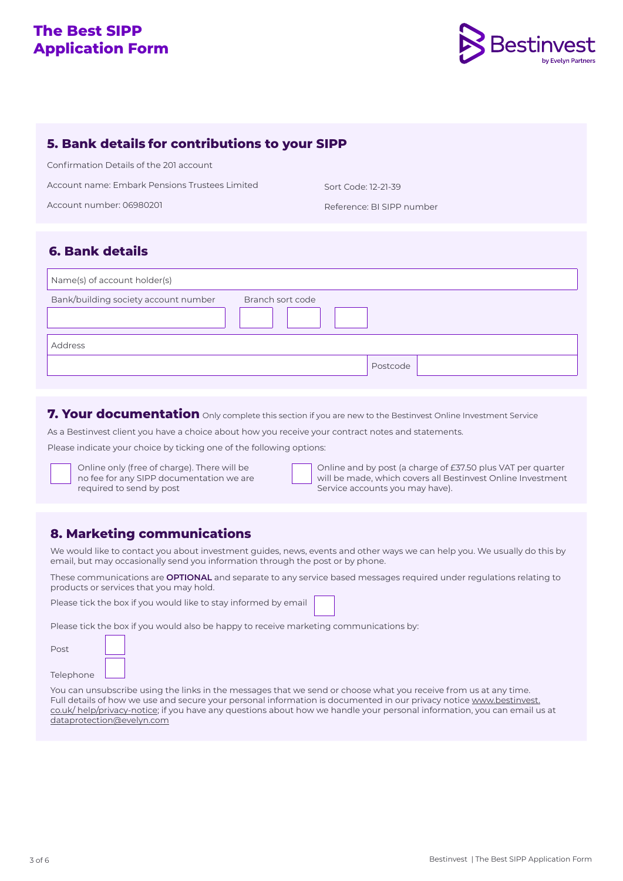

### **5. Bank details for contributions to your SIPP**

Confirmation Details of the 201 account

Account name: Embark Pensions Trustees Limited

Account number: 06980201

Sort Code: 12-21-39

Reference: BI SIPP number

# **6. Bank details**

| Name(s) of account holder(s)                             |          |
|----------------------------------------------------------|----------|
| Bank/building society account number<br>Branch sort code |          |
| Address                                                  |          |
|                                                          | Postcode |

**7. Your documentation** Only complete this section if you are new to the Bestinvest Online Investment Service

As a Bestinvest client you have a choice about how you receive your contract notes and statements.

Please indicate your choice by ticking one of the following options:

Online only (free of charge). There will be no fee for any SIPP documentation we are required to send by post

Online and by post (a charge of £37.50 plus VAT per quarter will be made, which covers all Bestinvest Online Investment Service accounts you may have).

# **8. Marketing communications**

We would like to contact you about investment guides, news, events and other ways we can help you. We usually do this by email, but may occasionally send you information through the post or by phone.

These communications are **OPTIONAL** and separate to any service based messages required under regulations relating to products or services that you may hold.

Please tick the box if you would like to stay informed by email

Please tick the box if you would also be happy to receive marketing communications by:

| Post      |  |
|-----------|--|
| Telephone |  |

. F

You can unsubscribe using the links in the messages that we send or choose what you receive from us at any time. Full details of how we use and secure your personal information is documented in our privacy noti[ce www.bestinvest.](mailto:dataprotection%40evelyn.com?subject=) [co.uk/](mailto:dataprotection%40evelyn.com?subject=) help/privacy-notice; if you have any questions about how we handle your personal information, you can email us at dataprotection@evelyn.com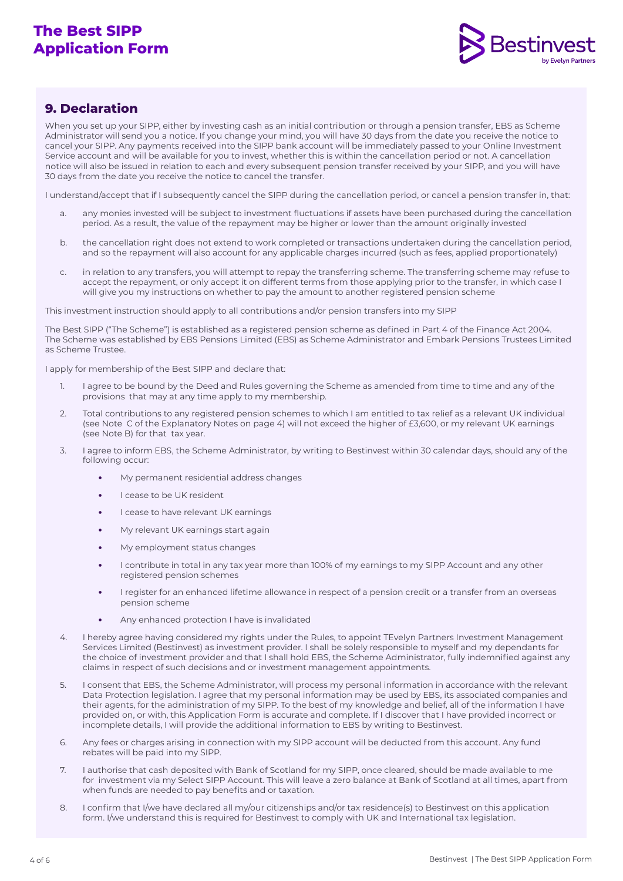

# **9. Declaration**

When you set up your SIPP, either by investing cash as an initial contribution or through a pension transfer, EBS as Scheme Administrator will send you a notice. If you change your mind, you will have 30 days from the date you receive the notice to cancel your SIPP. Any payments received into the SIPP bank account will be immediately passed to your Online Investment Service account and will be available for you to invest, whether this is within the cancellation period or not. A cancellation notice will also be issued in relation to each and every subsequent pension transfer received by your SIPP, and you will have 30 days from the date you receive the notice to cancel the transfer.

I understand/accept that if I subsequently cancel the SIPP during the cancellation period, or cancel a pension transfer in, that:

- a. any monies invested will be subject to investment fluctuations if assets have been purchased during the cancellation period. As a result, the value of the repayment may be higher or lower than the amount originally invested
- b. the cancellation right does not extend to work completed or transactions undertaken during the cancellation period, and so the repayment will also account for any applicable charges incurred (such as fees, applied proportionately)
- c. in relation to any transfers, you will attempt to repay the transferring scheme. The transferring scheme may refuse to accept the repayment, or only accept it on different terms from those applying prior to the transfer, in which case I will give you my instructions on whether to pay the amount to another registered pension scheme

This investment instruction should apply to all contributions and/or pension transfers into my SIPP

The Best SIPP ("The Scheme") is established as a registered pension scheme as defined in Part 4 of the Finance Act 2004. The Scheme was established by EBS Pensions Limited (EBS) as Scheme Administrator and Embark Pensions Trustees Limited as Scheme Trustee.

I apply for membership of the Best SIPP and declare that:

- 1. I agree to be bound by the Deed and Rules governing the Scheme as amended from time to time and any of the provisions that may at any time apply to my membership.
- 2. Total contributions to any registered pension schemes to which I am entitled to tax relief as a relevant UK individual (see Note C of the Explanatory Notes on page 4) will not exceed the higher of £3,600, or my relevant UK earnings (see Note B) for that tax year.
- 3. I agree to inform EBS, the Scheme Administrator, by writing to Bestinvest within 30 calendar days, should any of the following occur:
	- **•** My permanent residential address changes
	- **•** I cease to be UK resident
	- **•** I cease to have relevant UK earnings
	- **•** My relevant UK earnings start again
	- **•** My employment status changes
	- **•** I contribute in total in any tax year more than 100% of my earnings to my SIPP Account and any other registered pension schemes
	- **•** I register for an enhanced lifetime allowance in respect of a pension credit or a transfer from an overseas pension scheme
	- **•** Any enhanced protection I have is invalidated
- 4. I hereby agree having considered my rights under the Rules, to appoint TEvelyn Partners Investment Management Services Limited (Bestinvest) as investment provider. I shall be solely responsible to myself and my dependants for the choice of investment provider and that I shall hold EBS, the Scheme Administrator, fully indemnified against any claims in respect of such decisions and or investment management appointments.
- 5. I consent that EBS, the Scheme Administrator, will process my personal information in accordance with the relevant Data Protection legislation. I agree that my personal information may be used by EBS, its associated companies and their agents, for the administration of my SIPP. To the best of my knowledge and belief, all of the information I have provided on, or with, this Application Form is accurate and complete. If I discover that I have provided incorrect or incomplete details, I will provide the additional information to EBS by writing to Bestinvest.
- 6. Any fees or charges arising in connection with my SIPP account will be deducted from this account. Any fund rebates will be paid into my SIPP.
- 7. I authorise that cash deposited with Bank of Scotland for my SIPP, once cleared, should be made available to me for investment via my Select SIPP Account. This will leave a zero balance at Bank of Scotland at all times, apart from when funds are needed to pay benefits and or taxation.
- 8. I confirm that I/we have declared all my/our citizenships and/or tax residence(s) to Bestinvest on this application form. I/we understand this is required for Bestinvest to comply with UK and International tax legislation.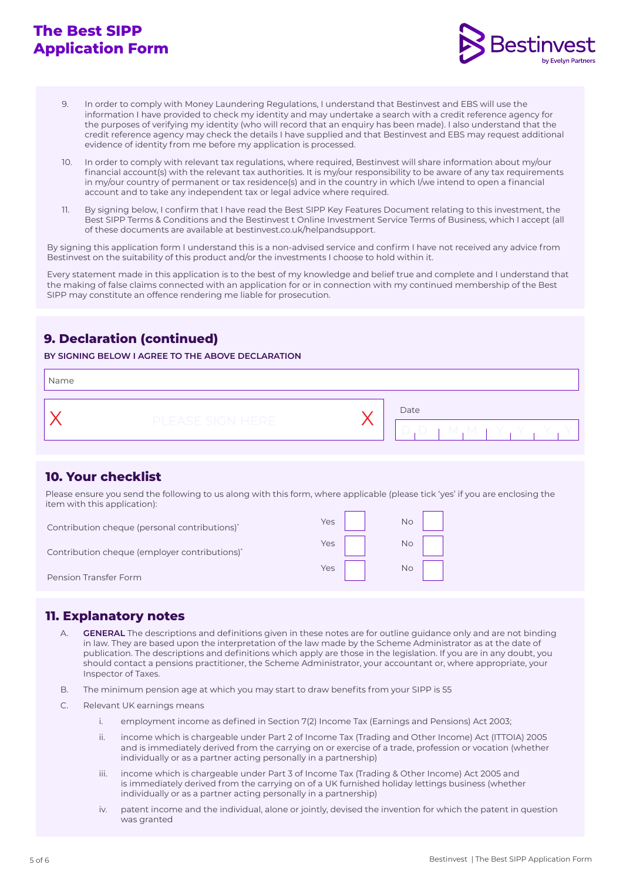

- 9. In order to comply with Money Laundering Regulations, I understand that Bestinvest and EBS will use the information I have provided to check my identity and may undertake a search with a credit reference agency for the purposes of verifying my identity (who will record that an enquiry has been made). I also understand that the credit reference agency may check the details I have supplied and that Bestinvest and EBS may request additional evidence of identity from me before my application is processed.
- 10. In order to comply with relevant tax regulations, where required, Bestinvest will share information about my/our financial account(s) with the relevant tax authorities. It is my/our responsibility to be aware of any tax requirements in my/our country of permanent or tax residence(s) and in the country in which I/we intend to open a financial account and to take any independent tax or legal advice where required.
- 11. By signing below, I confirm that I have read the Best SIPP Key Features Document relating to this investment, the Best SIPP Terms & Conditions and the Bestinvest t Online Investment Service Terms of Business, which I accept (all of these documents are available at bestinvest.co.uk/helpandsupport.

By signing this application form I understand this is a non-advised service and confirm I have not received any advice from Bestinvest on the suitability of this product and/or the investments I choose to hold within it.

Every statement made in this application is to the best of my knowledge and belief true and complete and I understand that the making of false claims connected with an application for or in connection with my continued membership of the Best SIPP may constitute an offence rendering me liable for prosecution.

# **9. Declaration (continued)**

**BY SIGNING BELOW I AGREE TO THE ABOVE DECLARATION** 

| Name |                  |                       |
|------|------------------|-----------------------|
|      | PLEASE SIGN HERE | Date<br>- M<br>一<br>一 |

# **10. Your checklist**

Please ensure you send the following to us along with this form, where applicable (please tick 'yes' if you are enclosing the item with this application):

| Contribution cheque (personal contributions) <sup>*</sup> | Yes |    |
|-----------------------------------------------------------|-----|----|
| Contribution cheque (employer contributions)*             | Yes | Νo |
| Pension Transfer Form                                     | Yes | Νo |

### **11. Explanatory notes**

- A. **GENERAL** The descriptions and definitions given in these notes are for outline guidance only and are not binding in law. They are based upon the interpretation of the law made by the Scheme Administrator as at the date of publication. The descriptions and definitions which apply are those in the legislation. If you are in any doubt, you should contact a pensions practitioner, the Scheme Administrator, your accountant or, where appropriate, your Inspector of Taxes.
- B. The minimum pension age at which you may start to draw benefits from your SIPP is 55
- C. Relevant UK earnings means
	- i. employment income as defined in Section 7(2) Income Tax (Earnings and Pensions) Act 2003;
	- ii. income which is chargeable under Part 2 of Income Tax (Trading and Other Income) Act (ITTOIA) 2005 and is immediately derived from the carrying on or exercise of a trade, profession or vocation (whether individually or as a partner acting personally in a partnership)
	- iii. income which is chargeable under Part 3 of Income Tax (Trading & Other Income) Act 2005 and is immediately derived from the carrying on of a UK furnished holiday lettings business (whether individually or as a partner acting personally in a partnership)
	- iv. patent income and the individual, alone or jointly, devised the invention for which the patent in question was granted